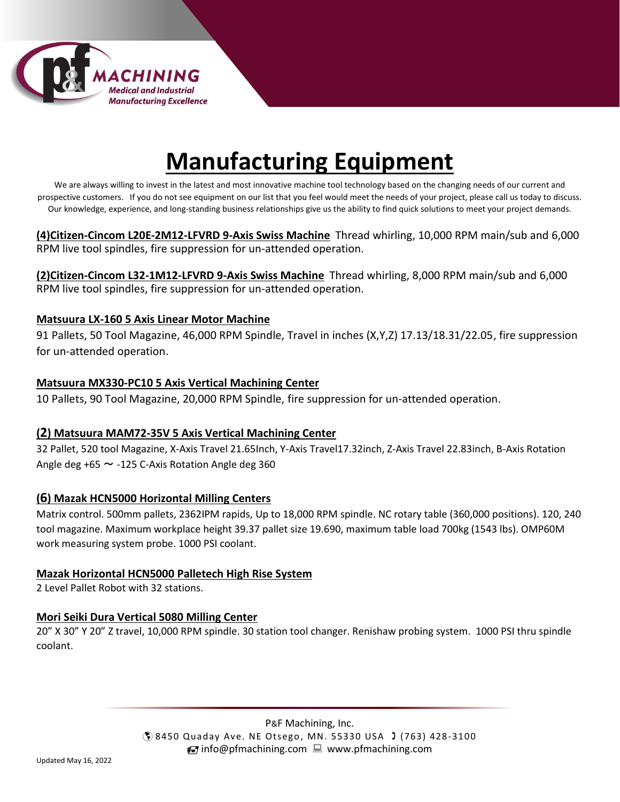

# **Manufacturing Equipment**

We are always willing to invest in the latest and most innovative machine tool technology based on the changing needs of our current and prospective customers. If you do not see equipment on our list that you feel would meet the needs of your project, please call us today to discuss. Our knowledge, experience, and long-standing business relationships give us the ability to find quick solutions to meet your project demands.

**(4)Citizen-Cincom L20E-2M12-LFVRD 9-Axis Swiss Machine** Thread whirling, 10,000 RPM main/sub and 6,000 RPM live tool spindles, fire suppression for un-attended operation.

**(2)Citizen-Cincom L32-1M12-LFVRD 9-Axis Swiss Machine** Thread whirling, 8,000 RPM main/sub and 6,000 RPM live tool spindles, fire suppression for un-attended operation.

#### **Matsuura LX-160 5 Axis Linear Motor Machine**

91 Pallets, 50 Tool Magazine, 46,000 RPM Spindle, Travel in inches (X,Y,Z) 17.13/18.31/22.05, fire suppression for un-attended operation.

# **Matsuura MX330-PC10 5 Axis Vertical Machining Center**

10 Pallets, 90 Tool Magazine, 20,000 RPM Spindle, fire suppression for un-attended operation.

# **(2) Matsuura MAM72-35V 5 Axis Vertical Machining Center**

32 Pallet, 520 tool Magazine, X-Axis Travel 21.65Inch, Y-Axis Travel17.32inch, Z-Axis Travel 22.83inch, B-Axis Rotation Angle deg  $+65 \sim -125$  C-Axis Rotation Angle deg 360

# **(6) Mazak HCN5000 Horizontal Milling Centers**

Matrix control. 500mm pallets, 2362IPM rapids, Up to 18,000 RPM spindle. NC rotary table (360,000 positions). 120, 240 tool magazine. Maximum workplace height 39.37 pallet size 19.690, maximum table load 700kg (1543 lbs). OMP60M work measuring system probe. 1000 PSI coolant.

#### **Mazak Horizontal HCN5000 Palletech High Rise System**

2 Level Pallet Robot with 32 stations.

# **Mori Seiki Dura Vertical 5080 Milling Center**

20" X 30" Y 20" Z travel, 10,000 RPM spindle. 30 station tool changer. Renishaw probing system. 1000 PSI thru spindle coolant.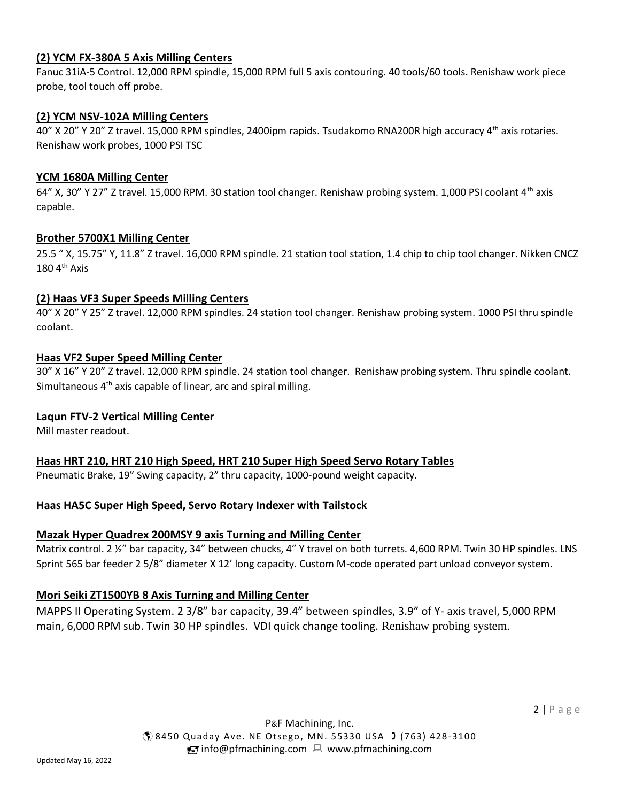#### **(2) YCM FX-380A 5 Axis Milling Centers**

Fanuc 31iA-5 Control. 12,000 RPM spindle, 15,000 RPM full 5 axis contouring. 40 tools/60 tools. Renishaw work piece probe, tool touch off probe.

#### **(2) YCM NSV-102A Milling Centers**

40" X 20" Y 20" Z travel. 15,000 RPM spindles, 2400ipm rapids. Tsudakomo RNA200R high accuracy 4th axis rotaries. Renishaw work probes, 1000 PSI TSC

#### **YCM 1680A Milling Center**

64" X, 30" Y 27" Z travel. 15,000 RPM. 30 station tool changer. Renishaw probing system. 1,000 PSI coolant 4<sup>th</sup> axis capable.

#### **Brother 5700X1 Milling Center**

25.5 " X, 15.75" Y, 11.8" Z travel. 16,000 RPM spindle. 21 station tool station, 1.4 chip to chip tool changer. Nikken CNCZ  $180 4<sup>th</sup> Axis$ 

#### **(2) Haas VF3 Super Speeds Milling Centers**

40" X 20" Y 25" Z travel. 12,000 RPM spindles. 24 station tool changer. Renishaw probing system. 1000 PSI thru spindle coolant.

#### **Haas VF2 Super Speed Milling Center**

30" X 16" Y 20" Z travel. 12,000 RPM spindle. 24 station tool changer. Renishaw probing system. Thru spindle coolant. Simultaneous 4<sup>th</sup> axis capable of linear, arc and spiral milling.

#### **Laqun FTV-2 Vertical Milling Center**

Mill master readout.

**Haas HRT 210, HRT 210 High Speed, HRT 210 Super High Speed Servo Rotary Tables**

Pneumatic Brake, 19" Swing capacity, 2" thru capacity, 1000-pound weight capacity.

#### **Haas HA5C Super High Speed, Servo Rotary Indexer with Tailstock**

#### **Mazak Hyper Quadrex 200MSY 9 axis Turning and Milling Center**

Matrix control. 2 ½" bar capacity, 34" between chucks, 4" Y travel on both turrets. 4,600 RPM. Twin 30 HP spindles. LNS Sprint 565 bar feeder 2 5/8" diameter X 12' long capacity. Custom M-code operated part unload conveyor system.

#### **Mori Seiki ZT1500YB 8 Axis Turning and Milling Center**

MAPPS II Operating System. 2 3/8" bar capacity, 39.4" between spindles, 3.9" of Y- axis travel, 5,000 RPM main, 6,000 RPM sub. Twin 30 HP spindles. VDI quick change tooling. Renishaw probing system.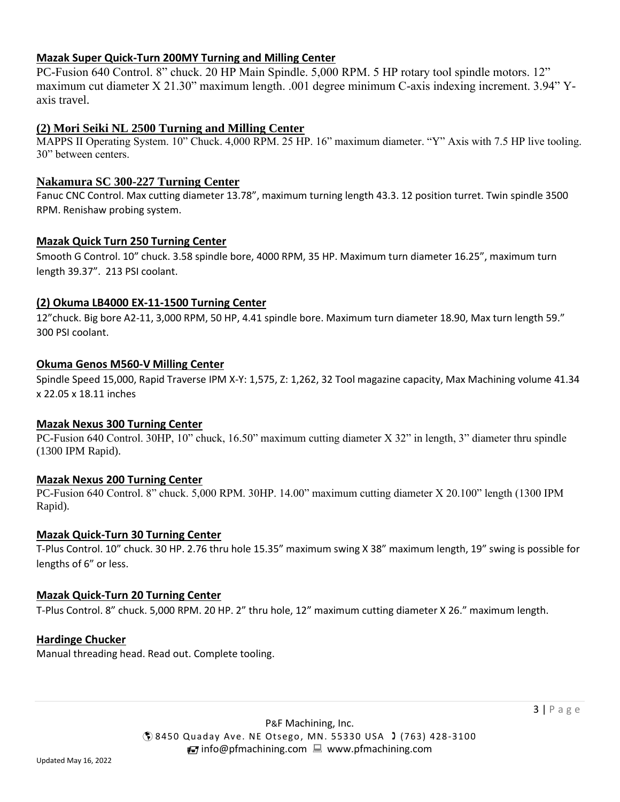#### **Mazak Super Quick-Turn 200MY Turning and Milling Center**

PC-Fusion 640 Control. 8" chuck. 20 HP Main Spindle. 5,000 RPM. 5 HP rotary tool spindle motors. 12" maximum cut diameter X 21.30" maximum length. .001 degree minimum C-axis indexing increment. 3.94" Yaxis travel.

# **(2) Mori Seiki NL 2500 Turning and Milling Center**

MAPPS II Operating System. 10" Chuck. 4,000 RPM. 25 HP. 16" maximum diameter. "Y" Axis with 7.5 HP live tooling. 30" between centers.

## **Nakamura SC 300-227 Turning Center**

Fanuc CNC Control. Max cutting diameter 13.78", maximum turning length 43.3. 12 position turret. Twin spindle 3500 RPM. Renishaw probing system.

#### **Mazak Quick Turn 250 Turning Center**

Smooth G Control. 10" chuck. 3.58 spindle bore, 4000 RPM, 35 HP. Maximum turn diameter 16.25", maximum turn length 39.37". 213 PSI coolant.

# **(2) Okuma LB4000 EX-11-1500 Turning Center**

12"chuck. Big bore A2-11, 3,000 RPM, 50 HP, 4.41 spindle bore. Maximum turn diameter 18.90, Max turn length 59." 300 PSI coolant.

# **Okuma Genos M560-V Milling Center**

Spindle Speed 15,000, Rapid Traverse IPM X-Y: 1,575, Z: 1,262, 32 Tool magazine capacity, Max Machining volume 41.34 x 22.05 x 18.11 inches

#### **Mazak Nexus 300 Turning Center**

PC-Fusion 640 Control. 30HP, 10" chuck, 16.50" maximum cutting diameter X 32" in length, 3" diameter thru spindle (1300 IPM Rapid).

#### **Mazak Nexus 200 Turning Center**

PC-Fusion 640 Control. 8" chuck. 5,000 RPM. 30HP. 14.00" maximum cutting diameter X 20.100" length (1300 IPM Rapid).

#### **Mazak Quick-Turn 30 Turning Center**

T-Plus Control. 10" chuck. 30 HP. 2.76 thru hole 15.35" maximum swing X 38" maximum length, 19" swing is possible for lengths of 6" or less.

#### **Mazak Quick-Turn 20 Turning Center**

T-Plus Control. 8" chuck. 5,000 RPM. 20 HP. 2" thru hole, 12" maximum cutting diameter X 26." maximum length.

#### **Hardinge Chucker**

Manual threading head. Read out. Complete tooling.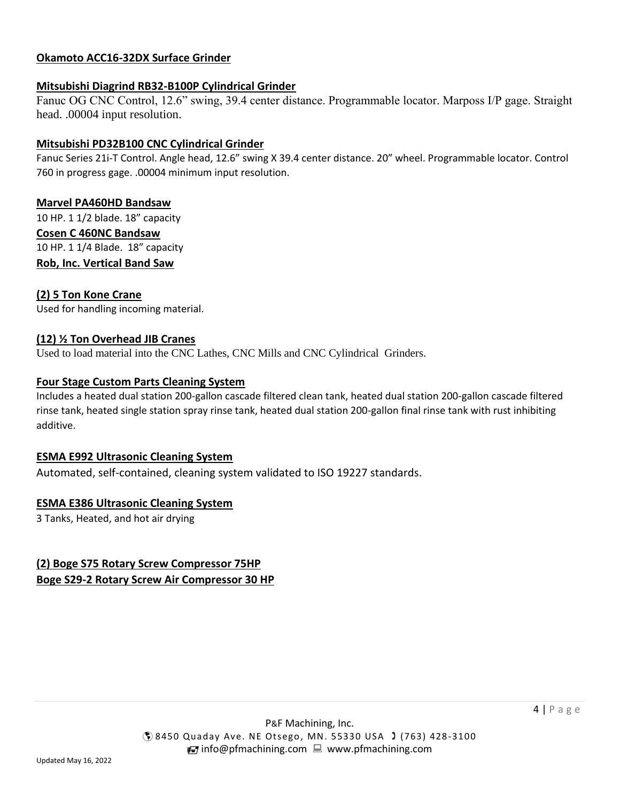# **Okamoto ACC16-32DX Surface Grinder**

#### **Mitsubishi Diagrind RB32-B100P Cylindrical Grinder**

Fanuc OG CNC Control, 12.6" swing, 39.4 center distance. Programmable locator. Marposs I/P gage. Straight head. .00004 input resolution.

#### **Mitsubishi PD32B100 CNC Cylindrical Grinder**

Fanuc Series 21i-T Control. Angle head, 12.6" swing X 39.4 center distance. 20" wheel. Programmable locator. Control 760 in progress gage. .00004 minimum input resolution.

# **Marvel PA460HD Bandsaw**

10 HP. 1 1/2 blade. 18" capacity **Cosen C 460NC Bandsaw** 10 HP. 1 1/4 Blade. 18" capacity **Rob, Inc. Vertical Band Saw**

# **(2) 5 Ton Kone Crane**

Used for handling incoming material.

#### **(12) ½ Ton Overhead JIB Cranes**

Used to load material into the CNC Lathes, CNC Mills and CNC Cylindrical Grinders.

#### **Four Stage Custom Parts Cleaning System**

Includes a heated dual station 200-gallon cascade filtered clean tank, heated dual station 200-gallon cascade filtered rinse tank, heated single station spray rinse tank, heated dual station 200-gallon final rinse tank with rust inhibiting additive.

#### **ESMA E992 Ultrasonic Cleaning System**

Automated, self-contained, cleaning system validated to ISO 19227 standards.

#### **ESMA E386 Ultrasonic Cleaning System**

3 Tanks, Heated, and hot air drying

# **(2) Boge S75 Rotary Screw Compressor 75HP Boge S29-2 Rotary Screw Air Compressor 30 HP**